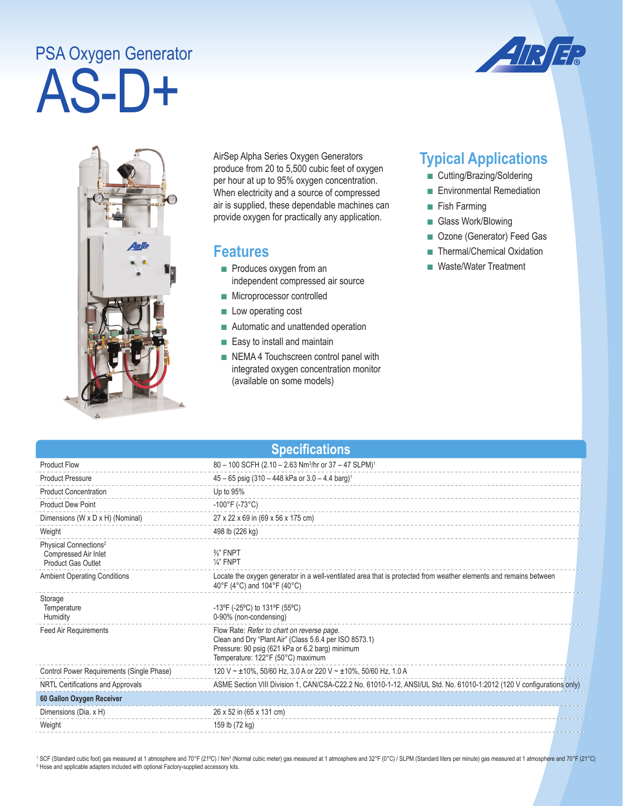## AS-D+ PSA Oxygen Generator





AirSep Alpha Series Oxygen Generators produce from 20 to 5,500 cubic feet of oxygen per hour at up to 95% oxygen concentration. When electricity and a source of compressed air is supplied, these dependable machines can provide oxygen for practically any application.

## **Features**

- Produces oxygen from an independent compressed air source
- Microprocessor controlled
- Low operating cost
- Automatic and unattended operation
- Easy to install and maintain
- NEMA 4 Touchscreen control panel with integrated oxygen concentration monitor (available on some models)

## **Typical Applications**

- Cutting/Brazing/Soldering
- Environmental Remediation
- Fish Farming
- Glass Work/Blowing
- Ozone (Generator) Feed Gas
- Thermal/Chemical Oxidation
- Waste/Water Treatment

| <b>Specifications</b>                                                                  |                                                                                                                                                                                              |  |  |
|----------------------------------------------------------------------------------------|----------------------------------------------------------------------------------------------------------------------------------------------------------------------------------------------|--|--|
| <b>Product Flow</b>                                                                    | 80 - 100 SCFH (2.10 - 2.63 Nm <sup>3</sup> /hr or 37 - 47 SLPM) <sup>1</sup>                                                                                                                 |  |  |
| <b>Product Pressure</b>                                                                | $45 - 65$ psig (310 - 448 kPa or 3.0 - 4.4 barg) <sup>1</sup>                                                                                                                                |  |  |
| <b>Product Concentration</b>                                                           | Up to 95%                                                                                                                                                                                    |  |  |
| <b>Product Dew Point</b>                                                               | $-100^{\circ}$ F (-73°C)                                                                                                                                                                     |  |  |
| Dimensions (W x D x H) (Nominal)                                                       | 27 x 22 x 69 in (69 x 56 x 175 cm)                                                                                                                                                           |  |  |
| Weight                                                                                 | 498 lb (226 kg)                                                                                                                                                                              |  |  |
| Physical Connections <sup>2</sup><br>Compressed Air Inlet<br><b>Product Gas Outlet</b> | $\frac{3}{8}$ " FNPT<br>$\frac{1}{4}$ " FNPT                                                                                                                                                 |  |  |
| <b>Ambient Operating Conditions</b>                                                    | Locate the oxygen generator in a well-ventilated area that is protected from weather elements and remains between<br>40°F (4°C) and 104°F (40°C)                                             |  |  |
| Storage<br>Temperature<br>Humidity                                                     | -13°F (-25°C) to 131°F (55°C)<br>0-90% (non-condensing)                                                                                                                                      |  |  |
| <b>Feed Air Requirements</b>                                                           | Flow Rate: Refer to chart on reverse page.<br>Clean and Dry "Plant Air" (Class 5.6.4 per ISO 8573.1)<br>Pressure: 90 psig (621 kPa or 6.2 barg) minimum<br>Temperature: 122°F (50°C) maximum |  |  |
| Control Power Requirements (Single Phase)                                              | 120 V ~ ±10%, 50/60 Hz, 3.0 A or 220 V ~ ±10%, 50/60 Hz, 1.0 A                                                                                                                               |  |  |
| NRTL Certifications and Approvals                                                      | ASME Section VIII Division 1, CAN/CSA-C22.2 No. 61010-1-12, ANSI/UL Std. No. 61010-1:2012 (120 V configurations only)                                                                        |  |  |
| 60 Gallon Oxygen Receiver                                                              |                                                                                                                                                                                              |  |  |
| Dimensions (Dia. x H)                                                                  | 26 x 52 in (65 x 131 cm)                                                                                                                                                                     |  |  |
| Weight                                                                                 | 159 lb (72 kg)                                                                                                                                                                               |  |  |

<sup>1</sup> SCF (Standard cubic foot) gas measured at 1 atmosphere and 70°F (21°C) / Nm<sup>3</sup> (Normal cubic meter) gas measured at 1 atmosphere and 32°F (0°C) / SLPM (Standard liters per minute) gas measured at 1 atmosphere and 70°F <sup>2</sup> Hose and applicable adapters included with optional Factory-supplied accessory kits.